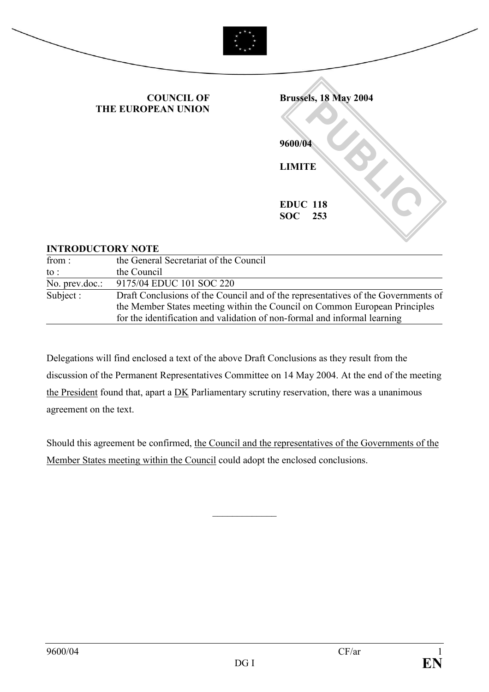

#### INTRODUCTORY NOTE

| the General Secretariat of the Council                                                                                                                          |
|-----------------------------------------------------------------------------------------------------------------------------------------------------------------|
| the Council                                                                                                                                                     |
| 9175/04 EDUC 101 SOC 220                                                                                                                                        |
| Draft Conclusions of the Council and of the representatives of the Governments of<br>the Member States meeting within the Council on Common European Principles |
| for the identification and validation of non-formal and informal learning                                                                                       |
|                                                                                                                                                                 |

Delegations will find enclosed a text of the above Draft Conclusions as they result from the discussion of the Permanent Representatives Committee on 14 May 2004. At the end of the meeting the President found that, apart a DK Parliamentary scrutiny reservation, there was a unanimous agreement on the text.

Should this agreement be confirmed, the Council and the representatives of the Governments of the Member States meeting within the Council could adopt the enclosed conclusions.

 $\frac{1}{2}$  ,  $\frac{1}{2}$  ,  $\frac{1}{2}$  ,  $\frac{1}{2}$  ,  $\frac{1}{2}$  ,  $\frac{1}{2}$  ,  $\frac{1}{2}$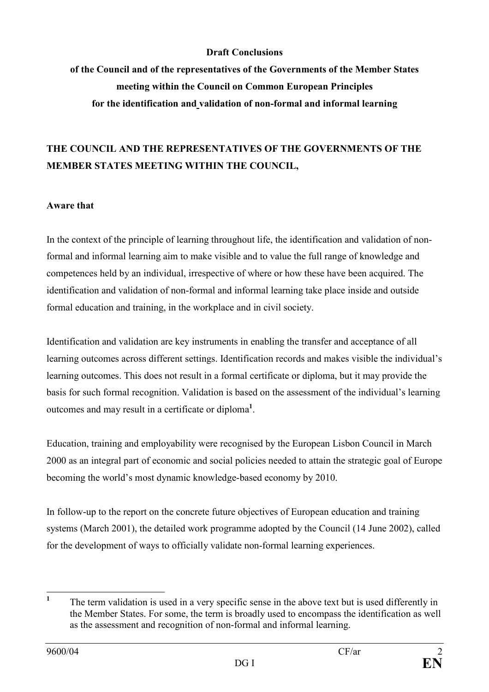#### Draft Conclusions

of the Council and of the representatives of the Governments of the Member States meeting within the Council on Common European Principles for the identification and validation of non-formal and informal learning

## THE COUNCIL AND THE REPRESENTATIVES OF THE GOVERNMENTS OF THE MEMBER STATES MEETING WITHIN THE COUNCIL,

#### Aware that

In the context of the principle of learning throughout life, the identification and validation of nonformal and informal learning aim to make visible and to value the full range of knowledge and competences held by an individual, irrespective of where or how these have been acquired. The identification and validation of non-formal and informal learning take place inside and outside formal education and training, in the workplace and in civil society.

Identification and validation are key instruments in enabling the transfer and acceptance of all learning outcomes across different settings. Identification records and makes visible the individual's learning outcomes. This does not result in a formal certificate or diploma, but it may provide the basis for such formal recognition. Validation is based on the assessment of the individual's learning outcomes and may result in a certificate or diploma<sup>1</sup>.

Education, training and employability were recognised by the European Lisbon Council in March 2000 as an integral part of economic and social policies needed to attain the strategic goal of Europe becoming the world's most dynamic knowledge-based economy by 2010.

In follow-up to the report on the concrete future objectives of European education and training systems (March 2001), the detailed work programme adopted by the Council (14 June 2002), called for the development of ways to officially validate non-formal learning experiences.

 $\frac{1}{1}$  The term validation is used in a very specific sense in the above text but is used differently in the Member States. For some, the term is broadly used to encompass the identification as well as the assessment and recognition of non-formal and informal learning.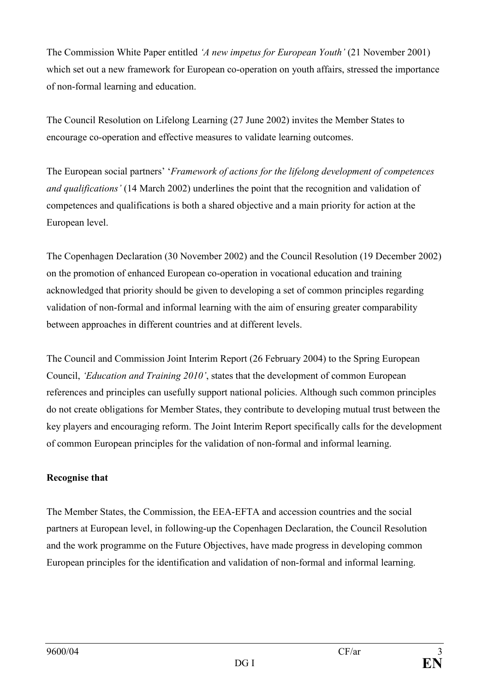The Commission White Paper entitled 'A new impetus for European Youth' (21 November 2001) which set out a new framework for European co-operation on youth affairs, stressed the importance of non-formal learning and education.

The Council Resolution on Lifelong Learning (27 June 2002) invites the Member States to encourage co-operation and effective measures to validate learning outcomes.

The European social partners' 'Framework of actions for the lifelong development of competences and qualifications' (14 March 2002) underlines the point that the recognition and validation of competences and qualifications is both a shared objective and a main priority for action at the European level.

The Copenhagen Declaration (30 November 2002) and the Council Resolution (19 December 2002) on the promotion of enhanced European co-operation in vocational education and training acknowledged that priority should be given to developing a set of common principles regarding validation of non-formal and informal learning with the aim of ensuring greater comparability between approaches in different countries and at different levels.

The Council and Commission Joint Interim Report (26 February 2004) to the Spring European Council, 'Education and Training 2010', states that the development of common European references and principles can usefully support national policies. Although such common principles do not create obligations for Member States, they contribute to developing mutual trust between the key players and encouraging reform. The Joint Interim Report specifically calls for the development of common European principles for the validation of non-formal and informal learning.

### Recognise that

The Member States, the Commission, the EEA-EFTA and accession countries and the social partners at European level, in following-up the Copenhagen Declaration, the Council Resolution and the work programme on the Future Objectives, have made progress in developing common European principles for the identification and validation of non-formal and informal learning.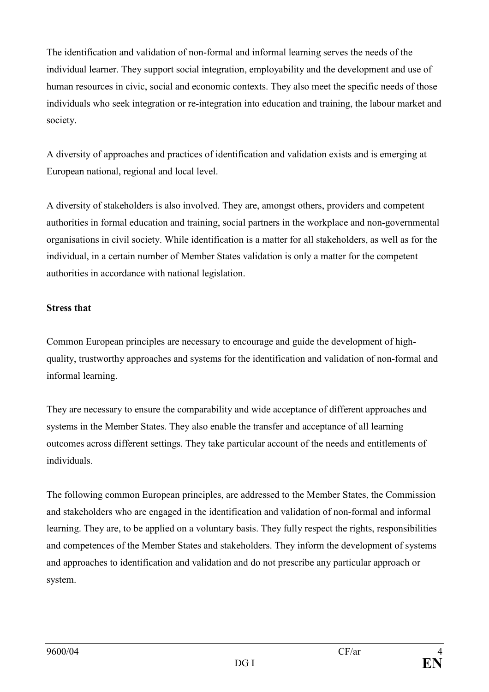The identification and validation of non-formal and informal learning serves the needs of the individual learner. They support social integration, employability and the development and use of human resources in civic, social and economic contexts. They also meet the specific needs of those individuals who seek integration or re-integration into education and training, the labour market and society.

A diversity of approaches and practices of identification and validation exists and is emerging at European national, regional and local level.

A diversity of stakeholders is also involved. They are, amongst others, providers and competent authorities in formal education and training, social partners in the workplace and non-governmental organisations in civil society. While identification is a matter for all stakeholders, as well as for the individual, in a certain number of Member States validation is only a matter for the competent authorities in accordance with national legislation.

#### Stress that

Common European principles are necessary to encourage and guide the development of highquality, trustworthy approaches and systems for the identification and validation of non-formal and informal learning.

They are necessary to ensure the comparability and wide acceptance of different approaches and systems in the Member States. They also enable the transfer and acceptance of all learning outcomes across different settings. They take particular account of the needs and entitlements of individuals.

The following common European principles, are addressed to the Member States, the Commission and stakeholders who are engaged in the identification and validation of non-formal and informal learning. They are, to be applied on a voluntary basis. They fully respect the rights, responsibilities and competences of the Member States and stakeholders. They inform the development of systems and approaches to identification and validation and do not prescribe any particular approach or system.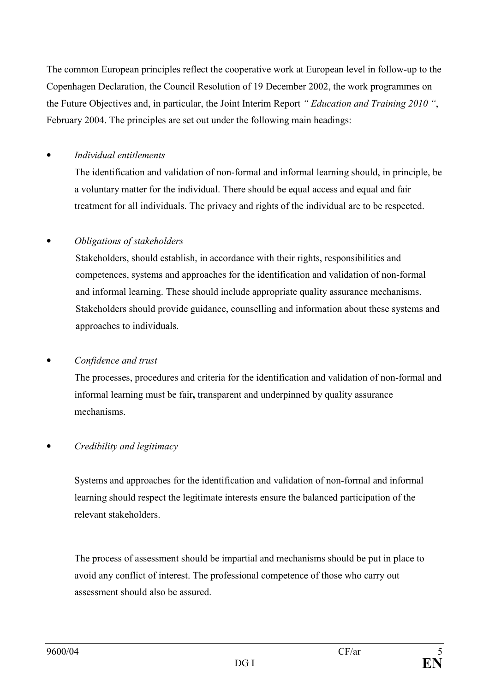The common European principles reflect the cooperative work at European level in follow-up to the Copenhagen Declaration, the Council Resolution of 19 December 2002, the work programmes on the Future Objectives and, in particular, the Joint Interim Report " Education and Training 2010 ", February 2004. The principles are set out under the following main headings:

## • Individual entitlements

The identification and validation of non-formal and informal learning should, in principle, be a voluntary matter for the individual. There should be equal access and equal and fair treatment for all individuals. The privacy and rights of the individual are to be respected.

## • Obligations of stakeholders

Stakeholders, should establish, in accordance with their rights, responsibilities and competences, systems and approaches for the identification and validation of non-formal and informal learning. These should include appropriate quality assurance mechanisms. Stakeholders should provide guidance, counselling and information about these systems and approaches to individuals.

### • Confidence and trust

The processes, procedures and criteria for the identification and validation of non-formal and informal learning must be fair, transparent and underpinned by quality assurance mechanisms.

### • Credibility and legitimacy

Systems and approaches for the identification and validation of non-formal and informal learning should respect the legitimate interests ensure the balanced participation of the relevant stakeholders.

The process of assessment should be impartial and mechanisms should be put in place to avoid any conflict of interest. The professional competence of those who carry out assessment should also be assured.